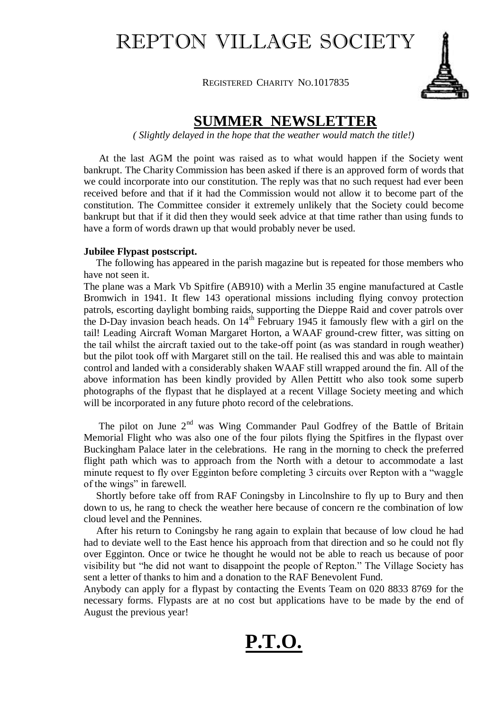## REPTON VILLAGE SOCIETY

REGISTERED CHARITY NO.1017835



### **SUMMER NEWSLETTER**

*( Slightly delayed in the hope that the weather would match the title!)*

 At the last AGM the point was raised as to what would happen if the Society went bankrupt. The Charity Commission has been asked if there is an approved form of words that we could incorporate into our constitution. The reply was that no such request had ever been received before and that if it had the Commission would not allow it to become part of the constitution. The Committee consider it extremely unlikely that the Society could become bankrupt but that if it did then they would seek advice at that time rather than using funds to have a form of words drawn up that would probably never be used.

#### **Jubilee Flypast postscript.**

 The following has appeared in the parish magazine but is repeated for those members who have not seen it.

The plane was a Mark Vb Spitfire (AB910) with a Merlin 35 engine manufactured at Castle Bromwich in 1941. It flew 143 operational missions including flying convoy protection patrols, escorting daylight bombing raids, supporting the Dieppe Raid and cover patrols over the D-Day invasion beach heads. On  $14<sup>th</sup>$  February 1945 it famously flew with a girl on the tail! Leading Aircraft Woman Margaret Horton, a WAAF ground-crew fitter, was sitting on the tail whilst the aircraft taxied out to the take-off point (as was standard in rough weather) but the pilot took off with Margaret still on the tail. He realised this and was able to maintain control and landed with a considerably shaken WAAF still wrapped around the fin. All of the above information has been kindly provided by Allen Pettitt who also took some superb photographs of the flypast that he displayed at a recent Village Society meeting and which will be incorporated in any future photo record of the celebrations.

The pilot on June  $2<sup>nd</sup>$  was Wing Commander Paul Godfrey of the Battle of Britain Memorial Flight who was also one of the four pilots flying the Spitfires in the flypast over Buckingham Palace later in the celebrations. He rang in the morning to check the preferred flight path which was to approach from the North with a detour to accommodate a last minute request to fly over Egginton before completing 3 circuits over Repton with a "waggle of the wings" in farewell.

 Shortly before take off from RAF Coningsby in Lincolnshire to fly up to Bury and then down to us, he rang to check the weather here because of concern re the combination of low cloud level and the Pennines.

 After his return to Coningsby he rang again to explain that because of low cloud he had had to deviate well to the East hence his approach from that direction and so he could not fly over Egginton. Once or twice he thought he would not be able to reach us because of poor visibility but "he did not want to disappoint the people of Repton." The Village Society has sent a letter of thanks to him and a donation to the RAF Benevolent Fund.

Anybody can apply for a flypast by contacting the Events Team on 020 8833 8769 for the necessary forms. Flypasts are at no cost but applications have to be made by the end of August the previous year!

# **P.T.O.**